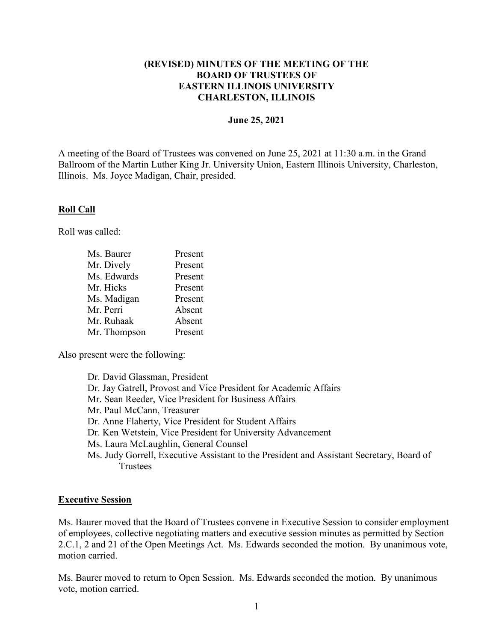## **(REVISED) MINUTES OF THE MEETING OF THE BOARD OF TRUSTEES OF EASTERN ILLINOIS UNIVERSITY CHARLESTON, ILLINOIS**

#### **June 25, 2021**

A meeting of the Board of Trustees was convened on June 25, 2021 at 11:30 a.m. in the Grand Ballroom of the Martin Luther King Jr. University Union, Eastern Illinois University, Charleston, Illinois. Ms. Joyce Madigan, Chair, presided.

### **Roll Call**

Roll was called:

| Ms. Baurer   | Present |
|--------------|---------|
| Mr. Dively   | Present |
| Ms. Edwards  | Present |
| Mr. Hicks    | Present |
| Ms. Madigan  | Present |
| Mr. Perri    | Absent  |
| Mr. Ruhaak   | Absent  |
| Mr. Thompson | Present |

Also present were the following:

Dr. David Glassman, President Dr. Jay Gatrell, Provost and Vice President for Academic Affairs Mr. Sean Reeder, Vice President for Business Affairs Mr. Paul McCann, Treasurer Dr. Anne Flaherty, Vice President for Student Affairs Dr. Ken Wetstein, Vice President for University Advancement Ms. Laura McLaughlin, General Counsel Ms. Judy Gorrell, Executive Assistant to the President and Assistant Secretary, Board of **Trustees** 

### **Executive Session**

Ms. Baurer moved that the Board of Trustees convene in Executive Session to consider employment of employees, collective negotiating matters and executive session minutes as permitted by Section 2.C.1, 2 and 21 of the Open Meetings Act. Ms. Edwards seconded the motion. By unanimous vote, motion carried.

Ms. Baurer moved to return to Open Session. Ms. Edwards seconded the motion. By unanimous vote, motion carried.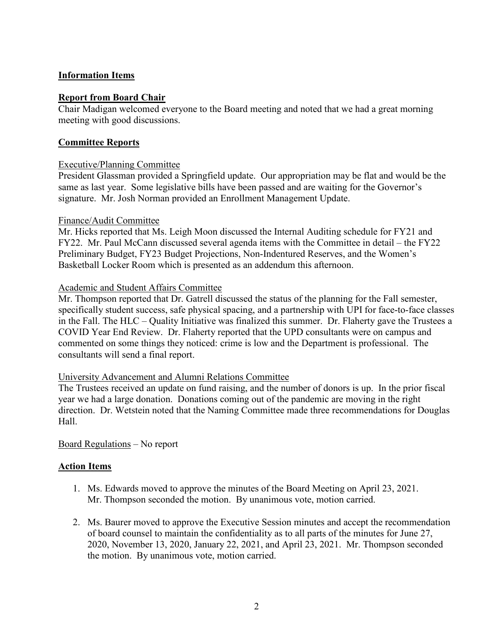## **Information Items**

### **Report from Board Chair**

Chair Madigan welcomed everyone to the Board meeting and noted that we had a great morning meeting with good discussions.

## **Committee Reports**

### Executive/Planning Committee

President Glassman provided a Springfield update. Our appropriation may be flat and would be the same as last year. Some legislative bills have been passed and are waiting for the Governor's signature. Mr. Josh Norman provided an Enrollment Management Update.

### Finance/Audit Committee

Mr. Hicks reported that Ms. Leigh Moon discussed the Internal Auditing schedule for FY21 and FY22. Mr. Paul McCann discussed several agenda items with the Committee in detail – the FY22 Preliminary Budget, FY23 Budget Projections, Non-Indentured Reserves, and the Women's Basketball Locker Room which is presented as an addendum this afternoon.

### Academic and Student Affairs Committee

Mr. Thompson reported that Dr. Gatrell discussed the status of the planning for the Fall semester, specifically student success, safe physical spacing, and a partnership with UPI for face-to-face classes in the Fall. The HLC – Quality Initiative was finalized this summer. Dr. Flaherty gave the Trustees a COVID Year End Review. Dr. Flaherty reported that the UPD consultants were on campus and commented on some things they noticed: crime is low and the Department is professional. The consultants will send a final report.

### University Advancement and Alumni Relations Committee

The Trustees received an update on fund raising, and the number of donors is up. In the prior fiscal year we had a large donation. Donations coming out of the pandemic are moving in the right direction. Dr. Wetstein noted that the Naming Committee made three recommendations for Douglas Hall.

Board Regulations – No report

### **Action Items**

- 1. Ms. Edwards moved to approve the minutes of the Board Meeting on April 23, 2021. Mr. Thompson seconded the motion. By unanimous vote, motion carried.
- 2. Ms. Baurer moved to approve the Executive Session minutes and accept the recommendation of board counsel to maintain the confidentiality as to all parts of the minutes for June 27, 2020, November 13, 2020, January 22, 2021, and April 23, 2021. Mr. Thompson seconded the motion. By unanimous vote, motion carried.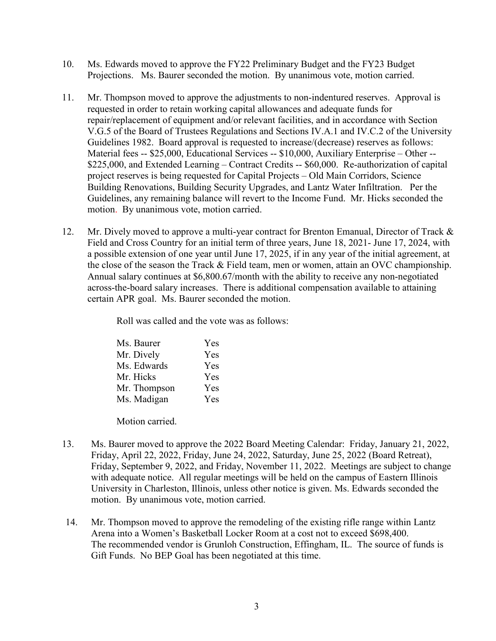- 10. Ms. Edwards moved to approve the FY22 Preliminary Budget and the FY23 Budget Projections. Ms. Baurer seconded the motion. By unanimous vote, motion carried.
- 11. Mr. Thompson moved to approve the adjustments to non-indentured reserves. Approval is requested in order to retain working capital allowances and adequate funds for repair/replacement of equipment and/or relevant facilities, and in accordance with Section V.G.5 of the Board of Trustees Regulations and Sections IV.A.1 and IV.C.2 of the University Guidelines 1982. Board approval is requested to increase/(decrease) reserves as follows: Material fees -- \$25,000, Educational Services -- \$10,000, Auxiliary Enterprise – Other -- \$225,000, and Extended Learning – Contract Credits -- \$60,000. Re-authorization of capital project reserves is being requested for Capital Projects – Old Main Corridors, Science Building Renovations, Building Security Upgrades, and Lantz Water Infiltration. Per the Guidelines, any remaining balance will revert to the Income Fund. Mr. Hicks seconded the motion. By unanimous vote, motion carried.
- 12. Mr. Dively moved to approve a multi-year contract for Brenton Emanual, Director of Track & Field and Cross Country for an initial term of three years, June 18, 2021- June 17, 2024, with a possible extension of one year until June 17, 2025, if in any year of the initial agreement, at the close of the season the Track & Field team, men or women, attain an OVC championship. Annual salary continues at \$6,800.67/month with the ability to receive any non-negotiated across-the-board salary increases. There is additional compensation available to attaining certain APR goal. Ms. Baurer seconded the motion.

Roll was called and the vote was as follows:

| Ms. Baurer   | Yes |
|--------------|-----|
| Mr. Dively   | Yes |
| Ms. Edwards  | Yes |
| Mr. Hicks    | Yes |
| Mr. Thompson | Yes |
| Ms. Madigan  | Yes |

Motion carried.

- 13. Ms. Baurer moved to approve the 2022 Board Meeting Calendar: Friday, January 21, 2022, Friday, April 22, 2022, Friday, June 24, 2022, Saturday, June 25, 2022 (Board Retreat), Friday, September 9, 2022, and Friday, November 11, 2022. Meetings are subject to change with adequate notice. All regular meetings will be held on the campus of Eastern Illinois University in Charleston, Illinois, unless other notice is given. Ms. Edwards seconded the motion. By unanimous vote, motion carried.
- 14. Mr. Thompson moved to approve the remodeling of the existing rifle range within Lantz Arena into a Women's Basketball Locker Room at a cost not to exceed \$698,400. The recommended vendor is Grunloh Construction, Effingham, IL. The source of funds is Gift Funds. No BEP Goal has been negotiated at this time.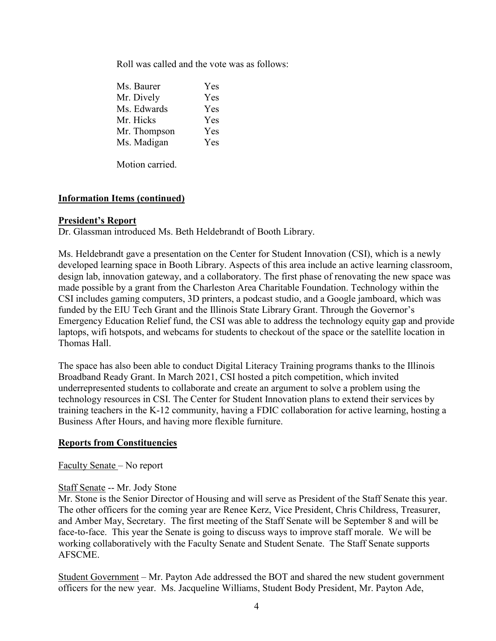Roll was called and the vote was as follows:

| Yes        |
|------------|
| Yes        |
| Yes        |
| Yes        |
| Yes        |
| <b>Yes</b> |
|            |

Motion carried.

# **Information Items (continued)**

### **President's Report**

Dr. Glassman introduced Ms. Beth Heldebrandt of Booth Library.

Ms. Heldebrandt gave a presentation on the Center for Student Innovation (CSI), which is a newly developed learning space in Booth Library. Aspects of this area include an active learning classroom, design lab, innovation gateway, and a collaboratory. The first phase of renovating the new space was made possible by a grant from the Charleston Area Charitable Foundation. Technology within the CSI includes gaming computers, 3D printers, a podcast studio, and a Google jamboard, which was funded by the EIU Tech Grant and the Illinois State Library Grant. Through the Governor's Emergency Education Relief fund, the CSI was able to address the technology equity gap and provide laptops, wifi hotspots, and webcams for students to checkout of the space or the satellite location in Thomas Hall.

The space has also been able to conduct Digital Literacy Training programs thanks to the Illinois Broadband Ready Grant. In March 2021, CSI hosted a pitch competition, which invited underrepresented students to collaborate and create an argument to solve a problem using the technology resources in CSI. The Center for Student Innovation plans to extend their services by training teachers in the K-12 community, having a FDIC collaboration for active learning, hosting a Business After Hours, and having more flexible furniture.

### **Reports from Constituencies**

### Faculty Senate – No report

### Staff Senate -- Mr. Jody Stone

Mr. Stone is the Senior Director of Housing and will serve as President of the Staff Senate this year. The other officers for the coming year are Renee Kerz, Vice President, Chris Childress, Treasurer, and Amber May, Secretary. The first meeting of the Staff Senate will be September 8 and will be face-to-face. This year the Senate is going to discuss ways to improve staff morale. We will be working collaboratively with the Faculty Senate and Student Senate. The Staff Senate supports AFSCME.

Student Government – Mr. Payton Ade addressed the BOT and shared the new student government officers for the new year. Ms. Jacqueline Williams, Student Body President, Mr. Payton Ade,